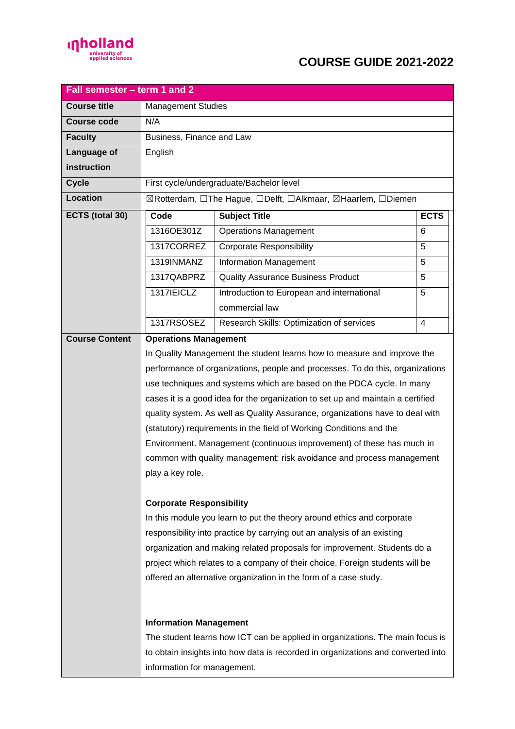

## **COURSE GUIDE 2021-2022**

| <b>Course title</b><br><b>Management Studies</b><br><b>Course code</b><br>N/A<br>Business, Finance and Law<br><b>Faculty</b><br>Language of<br>English<br>instruction<br>First cycle/undergraduate/Bachelor level<br><b>Cycle</b><br><b>Location</b><br>⊠Rotterdam, OThe Hague, ODelft, OAlkmaar, ⊠Haarlem, ODiemen<br>ECTS (total 30)<br><b>ECTS</b><br>Code<br><b>Subject Title</b><br>1316OE301Z<br><b>Operations Management</b><br>6<br>1317CORREZ<br><b>Corporate Responsibility</b><br>5<br>1319INMANZ<br>5<br>Information Management | Fall semester - term 1 and 2 |
|---------------------------------------------------------------------------------------------------------------------------------------------------------------------------------------------------------------------------------------------------------------------------------------------------------------------------------------------------------------------------------------------------------------------------------------------------------------------------------------------------------------------------------------------|------------------------------|
|                                                                                                                                                                                                                                                                                                                                                                                                                                                                                                                                             |                              |
|                                                                                                                                                                                                                                                                                                                                                                                                                                                                                                                                             |                              |
|                                                                                                                                                                                                                                                                                                                                                                                                                                                                                                                                             |                              |
|                                                                                                                                                                                                                                                                                                                                                                                                                                                                                                                                             |                              |
|                                                                                                                                                                                                                                                                                                                                                                                                                                                                                                                                             |                              |
|                                                                                                                                                                                                                                                                                                                                                                                                                                                                                                                                             |                              |
|                                                                                                                                                                                                                                                                                                                                                                                                                                                                                                                                             |                              |
|                                                                                                                                                                                                                                                                                                                                                                                                                                                                                                                                             |                              |
|                                                                                                                                                                                                                                                                                                                                                                                                                                                                                                                                             |                              |
|                                                                                                                                                                                                                                                                                                                                                                                                                                                                                                                                             |                              |
|                                                                                                                                                                                                                                                                                                                                                                                                                                                                                                                                             |                              |
| 1317QABPRZ<br><b>Quality Assurance Business Product</b><br>5                                                                                                                                                                                                                                                                                                                                                                                                                                                                                |                              |
| 1317 IEICLZ<br>Introduction to European and international<br>5                                                                                                                                                                                                                                                                                                                                                                                                                                                                              |                              |
| commercial law                                                                                                                                                                                                                                                                                                                                                                                                                                                                                                                              |                              |
| 1317RSOSEZ<br>Research Skills: Optimization of services<br>$\overline{4}$                                                                                                                                                                                                                                                                                                                                                                                                                                                                   |                              |
| <b>Operations Management</b><br><b>Course Content</b>                                                                                                                                                                                                                                                                                                                                                                                                                                                                                       |                              |
| In Quality Management the student learns how to measure and improve the                                                                                                                                                                                                                                                                                                                                                                                                                                                                     |                              |
| performance of organizations, people and processes. To do this, organizations                                                                                                                                                                                                                                                                                                                                                                                                                                                               |                              |
| use techniques and systems which are based on the PDCA cycle. In many                                                                                                                                                                                                                                                                                                                                                                                                                                                                       |                              |
| cases it is a good idea for the organization to set up and maintain a certified                                                                                                                                                                                                                                                                                                                                                                                                                                                             |                              |
| quality system. As well as Quality Assurance, organizations have to deal with                                                                                                                                                                                                                                                                                                                                                                                                                                                               |                              |
| (statutory) requirements in the field of Working Conditions and the                                                                                                                                                                                                                                                                                                                                                                                                                                                                         |                              |
| Environment. Management (continuous improvement) of these has much in                                                                                                                                                                                                                                                                                                                                                                                                                                                                       |                              |
| common with quality management: risk avoidance and process management                                                                                                                                                                                                                                                                                                                                                                                                                                                                       |                              |
| play a key role.                                                                                                                                                                                                                                                                                                                                                                                                                                                                                                                            |                              |
|                                                                                                                                                                                                                                                                                                                                                                                                                                                                                                                                             |                              |
| <b>Corporate Responsibility</b>                                                                                                                                                                                                                                                                                                                                                                                                                                                                                                             |                              |
| In this module you learn to put the theory around ethics and corporate                                                                                                                                                                                                                                                                                                                                                                                                                                                                      |                              |
| responsibility into practice by carrying out an analysis of an existing                                                                                                                                                                                                                                                                                                                                                                                                                                                                     |                              |
| organization and making related proposals for improvement. Students do a                                                                                                                                                                                                                                                                                                                                                                                                                                                                    |                              |
| project which relates to a company of their choice. Foreign students will be                                                                                                                                                                                                                                                                                                                                                                                                                                                                |                              |
| offered an alternative organization in the form of a case study.                                                                                                                                                                                                                                                                                                                                                                                                                                                                            |                              |
|                                                                                                                                                                                                                                                                                                                                                                                                                                                                                                                                             |                              |
| <b>Information Management</b>                                                                                                                                                                                                                                                                                                                                                                                                                                                                                                               |                              |
| The student learns how ICT can be applied in organizations. The main focus is                                                                                                                                                                                                                                                                                                                                                                                                                                                               |                              |
| to obtain insights into how data is recorded in organizations and converted into                                                                                                                                                                                                                                                                                                                                                                                                                                                            |                              |
| information for management.                                                                                                                                                                                                                                                                                                                                                                                                                                                                                                                 |                              |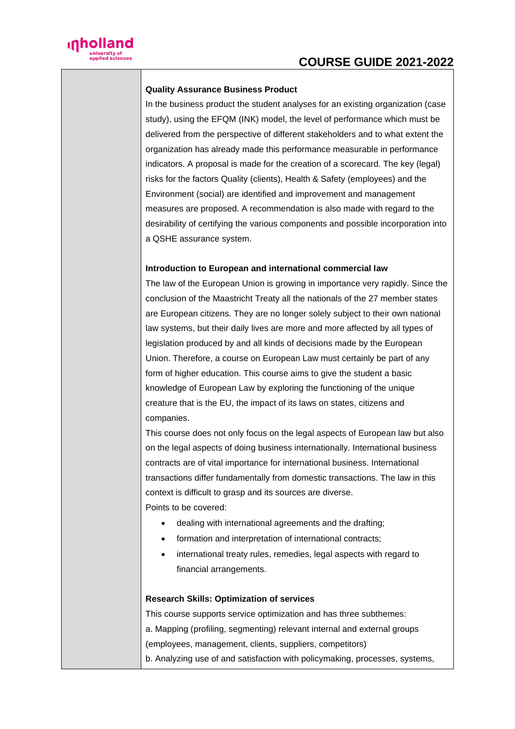

### **Quality Assurance Business Product**

In the business product the student analyses for an existing organization (case study), using the EFQM (INK) model, the level of performance which must be delivered from the perspective of different stakeholders and to what extent the organization has already made this performance measurable in performance indicators. A proposal is made for the creation of a scorecard. The key (legal) risks for the factors Quality (clients), Health & Safety (employees) and the Environment (social) are identified and improvement and management measures are proposed. A recommendation is also made with regard to the desirability of certifying the various components and possible incorporation into a QSHE assurance system.

#### **Introduction to European and international commercial law**

The law of the European Union is growing in importance very rapidly. Since the conclusion of the Maastricht Treaty all the nationals of the 27 member states are European citizens. They are no longer solely subject to their own national law systems, but their daily lives are more and more affected by all types of legislation produced by and all kinds of decisions made by the European Union. Therefore, a course on European Law must certainly be part of any form of higher education. This course aims to give the student a basic knowledge of European Law by exploring the functioning of the unique creature that is the EU, the impact of its laws on states, citizens and companies.

This course does not only focus on the legal aspects of European law but also on the legal aspects of doing business internationally. International business contracts are of vital importance for international business. International transactions differ fundamentally from domestic transactions. The law in this context is difficult to grasp and its sources are diverse. Points to be covered:

- dealing with international agreements and the drafting;
- formation and interpretation of international contracts;
- international treaty rules, remedies, legal aspects with regard to financial arrangements.

#### **Research Skills: Optimization of services**

This course supports service optimization and has three subthemes: a. Mapping (profiling, segmenting) relevant internal and external groups (employees, management, clients, suppliers, competitors) b. Analyzing use of and satisfaction with policymaking, processes, systems,